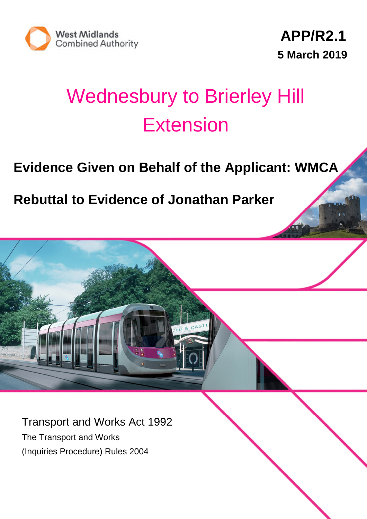

# Wednesbury to Brierley Hill Extension

# **Evidence Given on Behalf of the Applicant: WMCA**

**Rebuttal to Evidence of Jonathan Parker**

Transport and Works Act 1992 The Transport and Works (Inquiries Procedure) Rules 2004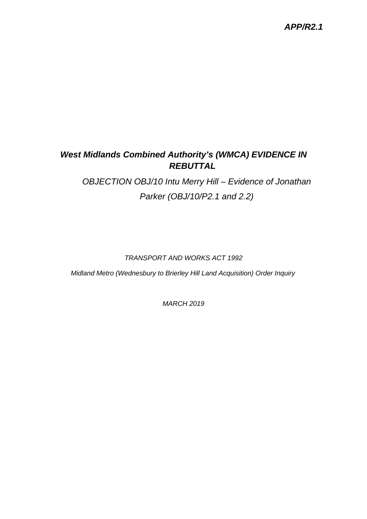### *APP/R2.1*

# *West Midlands Combined Authority's (WMCA) EVIDENCE IN REBUTTAL*

*OBJECTION OBJ/10 Intu Merry Hill – Evidence of Jonathan Parker (OBJ/10/P2.1 and 2.2)*

#### *TRANSPORT AND WORKS ACT 1992*

*Midland Metro (Wednesbury to Brierley Hill Land Acquisition) Order Inquiry*

*MARCH 2019*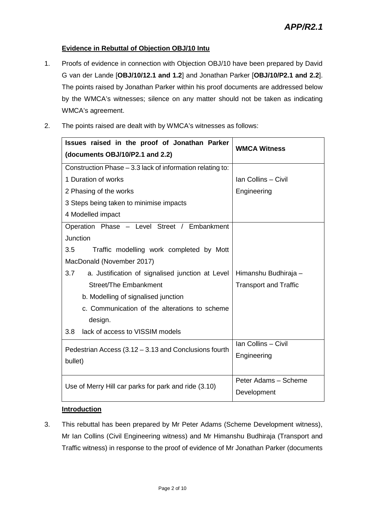#### **Evidence in Rebuttal of Objection OBJ/10 Intu**

- 1. Proofs of evidence in connection with Objection OBJ/10 have been prepared by David G van der Lande [**OBJ/10/12.1 and 1.2**] and Jonathan Parker [**OBJ/10/P2.1 and 2.2**]. The points raised by Jonathan Parker within his proof documents are addressed below by the WMCA's witnesses; silence on any matter should not be taken as indicating WMCA's agreement.
- 2. The points raised are dealt with by WMCA's witnesses as follows:

| Issues raised in the proof of Jonathan Parker<br>(documents OBJ/10/P2.1 and 2.2) | <b>WMCA Witness</b>          |
|----------------------------------------------------------------------------------|------------------------------|
| Construction Phase - 3.3 lack of information relating to:                        |                              |
| 1 Duration of works                                                              | Ian Collins - Civil          |
| 2 Phasing of the works                                                           | Engineering                  |
| 3 Steps being taken to minimise impacts                                          |                              |
| 4 Modelled impact                                                                |                              |
| Operation Phase - Level Street / Embankment                                      |                              |
| <b>Junction</b>                                                                  |                              |
| 3.5<br>Traffic modelling work completed by Mott                                  |                              |
| MacDonald (November 2017)                                                        |                              |
| 3.7<br>a. Justification of signalised junction at Level                          | Himanshu Budhiraja -         |
| Street/The Embankment                                                            | <b>Transport and Traffic</b> |
| b. Modelling of signalised junction                                              |                              |
| c. Communication of the alterations to scheme                                    |                              |
| design.                                                                          |                              |
| 3.8<br>lack of access to VISSIM models                                           |                              |
| Pedestrian Access (3.12 - 3.13 and Conclusions fourth                            | Ian Collins - Civil          |
| bullet)                                                                          | Engineering                  |
|                                                                                  |                              |
| Use of Merry Hill car parks for park and ride (3.10)                             | Peter Adams - Scheme         |
|                                                                                  | Development                  |

#### **Introduction**

3. This rebuttal has been prepared by Mr Peter Adams (Scheme Development witness), Mr Ian Collins (Civil Engineering witness) and Mr Himanshu Budhiraja (Transport and Traffic witness) in response to the proof of evidence of Mr Jonathan Parker (documents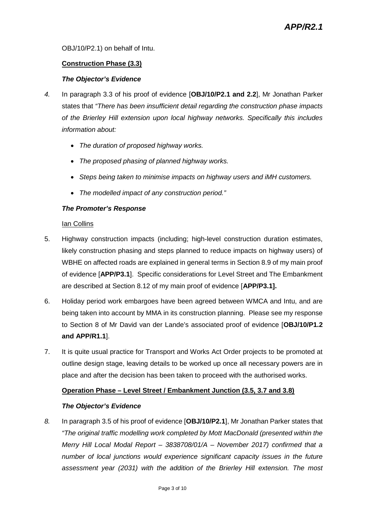OBJ/10/P2.1) on behalf of Intu.

#### **Construction Phase (3.3)**

#### *The Objector's Evidence*

- *4.* In paragraph 3.3 of his proof of evidence [**OBJ/10/P2.1 and 2.2**], Mr Jonathan Parker states that *"There has been insufficient detail regarding the construction phase impacts of the Brierley Hill extension upon local highway networks. Specifically this includes information about:*
	- *The duration of proposed highway works.*
	- *The proposed phasing of planned highway works.*
	- *Steps being taken to minimise impacts on highway users and iMH customers.*
	- *The modelled impact of any construction period."*

#### *The Promoter's Response*

#### Ian Collins

- 5. Highway construction impacts (including; high-level construction duration estimates, likely construction phasing and steps planned to reduce impacts on highway users) of WBHE on affected roads are explained in general terms in Section 8.9 of my main proof of evidence [**APP/P3.1**]. Specific considerations for Level Street and The Embankment are described at Section 8.12 of my main proof of evidence [**APP/P3.1].**
- 6. Holiday period work embargoes have been agreed between WMCA and Intu, and are being taken into account by MMA in its construction planning. Please see my response to Section 8 of Mr David van der Lande's associated proof of evidence [**OBJ/10/P1.2 and APP/R1.1**].
- 7. It is quite usual practice for Transport and Works Act Order projects to be promoted at outline design stage, leaving details to be worked up once all necessary powers are in place and after the decision has been taken to proceed with the authorised works.

#### **Operation Phase – Level Street / Embankment Junction (3.5, 3.7 and 3.8)**

#### *The Objector's Evidence*

*8.* In paragraph 3.5 of his proof of evidence [**OBJ/10/P2.1**], Mr Jonathan Parker states that *"The original traffic modelling work completed by Mott MacDonald (presented within the Merry Hill Local Modal Report – 3838708/01/A – November 2017) confirmed that a number of local junctions would experience significant capacity issues in the future assessment year (2031) with the addition of the Brierley Hill extension. The most*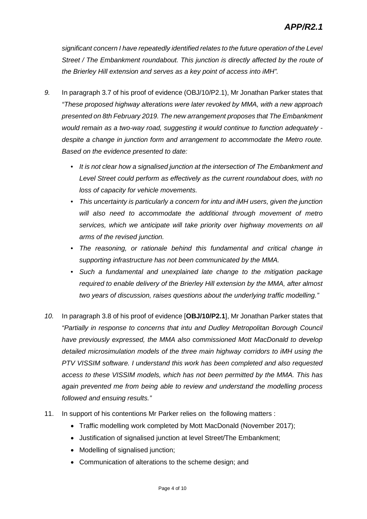*significant concern I have repeatedly identified relates to the future operation of the Level Street / The Embankment roundabout. This junction is directly affected by the route of the Brierley Hill extension and serves as a key point of access into iMH".*

- *9.* In paragraph 3.7 of his proof of evidence (OBJ/10/P2.1), Mr Jonathan Parker states that *"These proposed highway alterations were later revoked by MMA, with a new approach presented on 8th February 2019. The new arrangement proposes that The Embankment would remain as a two-way road, suggesting it would continue to function adequately despite a change in junction form and arrangement to accommodate the Metro route. Based on the evidence presented to date:*
	- *It is not clear how a signalised junction at the intersection of The Embankment and Level Street could perform as effectively as the current roundabout does, with no loss of capacity for vehicle movements.*
	- *This uncertainty is particularly a concern for intu and iMH users, given the junction will also need to accommodate the additional through movement of metro services, which we anticipate will take priority over highway movements on all arms of the revised junction.*
	- *The reasoning, or rationale behind this fundamental and critical change in supporting infrastructure has not been communicated by the MMA.*
	- *Such a fundamental and unexplained late change to the mitigation package required to enable delivery of the Brierley Hill extension by the MMA, after almost two years of discussion, raises questions about the underlying traffic modelling."*
- *10.* In paragraph 3.8 of his proof of evidence [**OBJ/10/P2.1**], Mr Jonathan Parker states that *"Partially in response to concerns that intu and Dudley Metropolitan Borough Council have previously expressed, the MMA also commissioned Mott MacDonald to develop detailed microsimulation models of the three main highway corridors to iMH using the PTV VISSIM software. I understand this work has been completed and also requested access to these VISSIM models, which has not been permitted by the MMA. This has again prevented me from being able to review and understand the modelling process followed and ensuing results."*
- 11. In support of his contentions Mr Parker relies on the following matters :
	- Traffic modelling work completed by Mott MacDonald (November 2017);
	- Justification of signalised junction at level Street/The Embankment;
	- Modelling of signalised junction;
	- Communication of alterations to the scheme design; and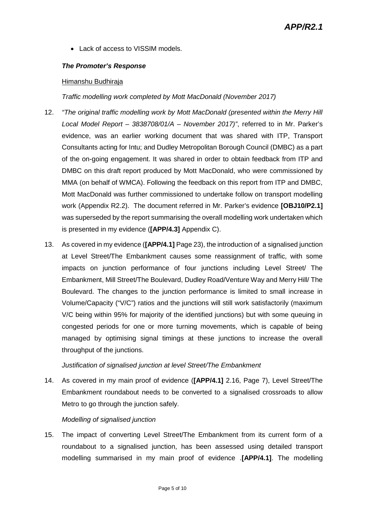• Lack of access to VISSIM models.

#### *The Promoter's Response*

#### Himanshu Budhiraja

#### *Traffic modelling work completed by Mott MacDonald (November 2017)*

- 12. *"The original traffic modelling work by Mott MacDonald (presented within the Merry Hill Local Model Report – 3838708/01/A – November 2017)"*, referred to in Mr. Parker's evidence, was an earlier working document that was shared with ITP, Transport Consultants acting for Intu; and Dudley Metropolitan Borough Council (DMBC) as a part of the on-going engagement. It was shared in order to obtain feedback from ITP and DMBC on this draft report produced by Mott MacDonald, who were commissioned by MMA (on behalf of WMCA). Following the feedback on this report from ITP and DMBC, Mott MacDonald was further commissioned to undertake follow on transport modelling work (Appendix R2.2). The document referred in Mr. Parker's evidence **[OBJ10/P2.1]** was superseded by the report summarising the overall modelling work undertaken which is presented in my evidence (**[APP/4.3]** Appendix C).
- 13. As covered in my evidence (**[APP/4.1]** Page 23), the introduction of a signalised junction at Level Street/The Embankment causes some reassignment of traffic, with some impacts on junction performance of four junctions including Level Street/ The Embankment, Mill Street/The Boulevard, Dudley Road/Venture Way and Merry Hill/ The Boulevard. The changes to the junction performance is limited to small increase in Volume/Capacity ("V/C") ratios and the junctions will still work satisfactorily (maximum V/C being within 95% for majority of the identified junctions) but with some queuing in congested periods for one or more turning movements, which is capable of being managed by optimising signal timings at these junctions to increase the overall throughput of the junctions.

#### *Justification of signalised junction at level Street/The Embankment*

14. As covered in my main proof of evidence (**[APP/4.1]** 2.16, Page 7), Level Street/The Embankment roundabout needs to be converted to a signalised crossroads to allow Metro to go through the junction safely.

#### *Modelling of signalised junction*

15. The impact of converting Level Street/The Embankment from its current form of a roundabout to a signalised junction, has been assessed using detailed transport modelling summarised in my main proof of evidence .**[APP/4.1]**. The modelling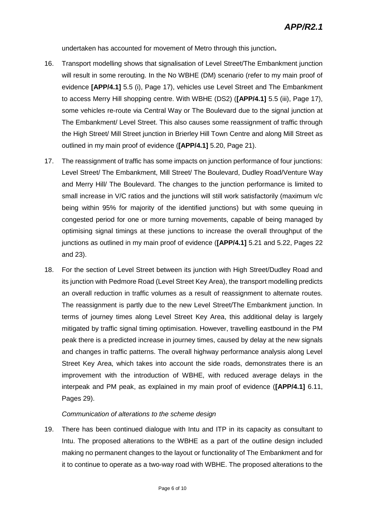undertaken has accounted for movement of Metro through this junction**.**

- 16. Transport modelling shows that signalisation of Level Street/The Embankment junction will result in some rerouting. In the No WBHE (DM) scenario (refer to my main proof of evidence **[APP/4.1]** 5.5 (i), Page 17), vehicles use Level Street and The Embankment to access Merry Hill shopping centre. With WBHE (DS2) (**[APP/4.1]** 5.5 (iii), Page 17), some vehicles re-route via Central Way or The Boulevard due to the signal junction at The Embankment/ Level Street. This also causes some reassignment of traffic through the High Street/ Mill Street junction in Brierley Hill Town Centre and along Mill Street as outlined in my main proof of evidence (**[APP/4.1]** 5.20, Page 21).
- 17. The reassignment of traffic has some impacts on junction performance of four junctions: Level Street/ The Embankment, Mill Street/ The Boulevard, Dudley Road/Venture Way and Merry Hill/ The Boulevard. The changes to the junction performance is limited to small increase in V/C ratios and the junctions will still work satisfactorily (maximum v/c being within 95% for majority of the identified junctions) but with some queuing in congested period for one or more turning movements, capable of being managed by optimising signal timings at these junctions to increase the overall throughput of the junctions as outlined in my main proof of evidence (**[APP/4.1]** 5.21 and 5.22, Pages 22 and 23).
- 18. For the section of Level Street between its junction with High Street/Dudley Road and its junction with Pedmore Road (Level Street Key Area), the transport modelling predicts an overall reduction in traffic volumes as a result of reassignment to alternate routes. The reassignment is partly due to the new Level Street/The Embankment junction. In terms of journey times along Level Street Key Area, this additional delay is largely mitigated by traffic signal timing optimisation. However, travelling eastbound in the PM peak there is a predicted increase in journey times, caused by delay at the new signals and changes in traffic patterns. The overall highway performance analysis along Level Street Key Area, which takes into account the side roads, demonstrates there is an improvement with the introduction of WBHE, with reduced average delays in the interpeak and PM peak, as explained in my main proof of evidence (**[APP/4.1]** 6.11, Pages 29).

#### *Communication of alterations to the scheme design*

19. There has been continued dialogue with Intu and ITP in its capacity as consultant to Intu. The proposed alterations to the WBHE as a part of the outline design included making no permanent changes to the layout or functionality of The Embankment and for it to continue to operate as a two-way road with WBHE. The proposed alterations to the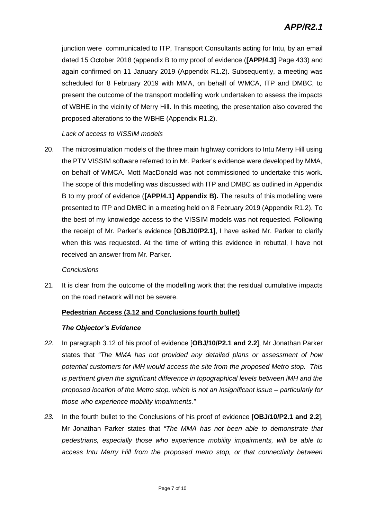junction were communicated to ITP, Transport Consultants acting for Intu, by an email dated 15 October 2018 (appendix B to my proof of evidence (**[APP/4.3]** Page 433) and again confirmed on 11 January 2019 (Appendix R1.2). Subsequently, a meeting was scheduled for 8 February 2019 with MMA, on behalf of WMCA, ITP and DMBC, to present the outcome of the transport modelling work undertaken to assess the impacts of WBHE in the vicinity of Merry Hill. In this meeting, the presentation also covered the proposed alterations to the WBHE (Appendix R1.2).

#### *Lack of access to VISSIM models*

20. The microsimulation models of the three main highway corridors to Intu Merry Hill using the PTV VISSIM software referred to in Mr. Parker's evidence were developed by MMA, on behalf of WMCA. Mott MacDonald was not commissioned to undertake this work. The scope of this modelling was discussed with ITP and DMBC as outlined in Appendix B to my proof of evidence (**[APP/4.1] Appendix B).** The results of this modelling were presented to ITP and DMBC in a meeting held on 8 February 2019 (Appendix R1.2). To the best of my knowledge access to the VISSIM models was not requested. Following the receipt of Mr. Parker's evidence [**OBJ10/P2.1**], I have asked Mr. Parker to clarify when this was requested. At the time of writing this evidence in rebuttal, I have not received an answer from Mr. Parker.

#### *Conclusions*

21. It is clear from the outcome of the modelling work that the residual cumulative impacts on the road network will not be severe.

#### **Pedestrian Access (3.12 and Conclusions fourth bullet)**

#### *The Objector's Evidence*

- *22.* In paragraph 3.12 of his proof of evidence [**OBJ/10/P2.1 and 2.2**], Mr Jonathan Parker states that *"The MMA has not provided any detailed plans or assessment of how potential customers for iMH would access the site from the proposed Metro stop. This is pertinent given the significant difference in topographical levels between iMH and the proposed location of the Metro stop, which is not an insignificant issue – particularly for those who experience mobility impairments."*
- *23.* In the fourth bullet to the Conclusions of his proof of evidence [**OBJ/10/P2.1 and 2.2**], Mr Jonathan Parker states that *"The MMA has not been able to demonstrate that pedestrians, especially those who experience mobility impairments, will be able to access Intu Merry Hill from the proposed metro stop, or that connectivity between*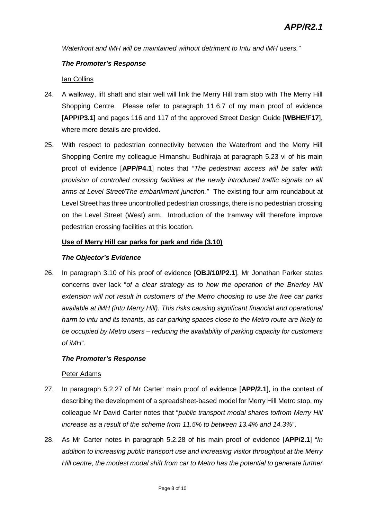*Waterfront and iMH will be maintained without detriment to Intu and iMH users."*

#### *The Promoter's Response*

#### Ian Collins

- 24. A walkway, lift shaft and stair well will link the Merry Hill tram stop with The Merry Hill Shopping Centre. Please refer to paragraph 11.6.7 of my main proof of evidence [**APP/P3.1**] and pages 116 and 117 of the approved Street Design Guide [**WBHE/F17**], where more details are provided.
- 25. With respect to pedestrian connectivity between the Waterfront and the Merry Hill Shopping Centre my colleague Himanshu Budhiraja at paragraph 5.23 vi of his main proof of evidence [**APP/P4.1**] notes that *"The pedestrian access will be safer with provision of controlled crossing facilities at the newly introduced traffic signals on all arms at Level Street/The embankment junction."* The existing four arm roundabout at Level Street has three uncontrolled pedestrian crossings, there is no pedestrian crossing on the Level Street (West) arm. Introduction of the tramway will therefore improve pedestrian crossing facilities at this location.

#### **Use of Merry Hill car parks for park and ride (3.10)**

#### *The Objector's Evidence*

26. In paragraph 3.10 of his proof of evidence [**OBJ/10/P2.1**], Mr Jonathan Parker states concerns over lack "*of a clear strategy as to how the operation of the Brierley Hill extension will not result in customers of the Metro choosing to use the free car parks available at iMH (intu Merry Hill). This risks causing significant financial and operational harm to intu and its tenants, as car parking spaces close to the Metro route are likely to be occupied by Metro users – reducing the availability of parking capacity for customers of iMH*".

#### *The Promoter's Response*

#### Peter Adams

- 27. In paragraph 5.2.27 of Mr Carter' main proof of evidence [**APP/2.1**], in the context of describing the development of a spreadsheet-based model for Merry Hill Metro stop, my colleague Mr David Carter notes that "*public transport modal shares to/from Merry Hill increase as a result of the scheme from 11.5% to between 13.4% and 14.3%*".
- 28. As Mr Carter notes in paragraph 5.2.28 of his main proof of evidence [**APP/2.1**] "*In addition to increasing public transport use and increasing visitor throughput at the Merry Hill centre, the modest modal shift from car to Metro has the potential to generate further*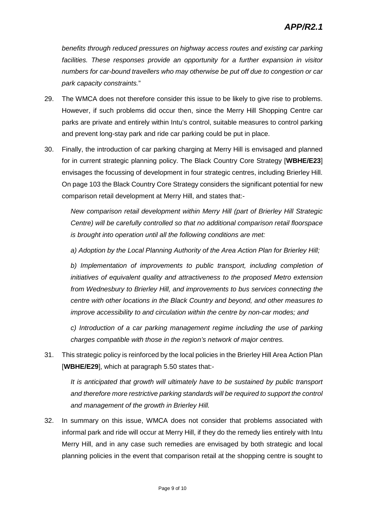*benefits through reduced pressures on highway access routes and existing car parking facilities. These responses provide an opportunity for a further expansion in visitor numbers for car-bound travellers who may otherwise be put off due to congestion or car park capacity constraints.*"

- 29. The WMCA does not therefore consider this issue to be likely to give rise to problems. However, if such problems did occur then, since the Merry Hill Shopping Centre car parks are private and entirely within Intu's control, suitable measures to control parking and prevent long-stay park and ride car parking could be put in place.
- 30. Finally, the introduction of car parking charging at Merry Hill is envisaged and planned for in current strategic planning policy. The Black Country Core Strategy [**WBHE/E23**] envisages the focussing of development in four strategic centres, including Brierley Hill. On page 103 the Black Country Core Strategy considers the significant potential for new comparison retail development at Merry Hill, and states that:-

*New comparison retail development within Merry Hill (part of Brierley Hill Strategic Centre) will be carefully controlled so that no additional comparison retail floorspace is brought into operation until all the following conditions are met:*

*a) Adoption by the Local Planning Authority of the Area Action Plan for Brierley Hill;*

*b) Implementation of improvements to public transport, including completion of initiatives of equivalent quality and attractiveness to the proposed Metro extension from Wednesbury to Brierley Hill, and improvements to bus services connecting the centre with other locations in the Black Country and beyond, and other measures to improve accessibility to and circulation within the centre by non-car modes; and*

*c) Introduction of a car parking management regime including the use of parking charges compatible with those in the region's network of major centres.*

31. This strategic policy is reinforced by the local policies in the Brierley Hill Area Action Plan [**WBHE/E29**], which at paragraph 5.50 states that:-

*It is anticipated that growth will ultimately have to be sustained by public transport and therefore more restrictive parking standards will be required to support the control and management of the growth in Brierley Hill.*

32. In summary on this issue, WMCA does not consider that problems associated with informal park and ride will occur at Merry Hill, if they do the remedy lies entirely with Intu Merry Hill, and in any case such remedies are envisaged by both strategic and local planning policies in the event that comparison retail at the shopping centre is sought to